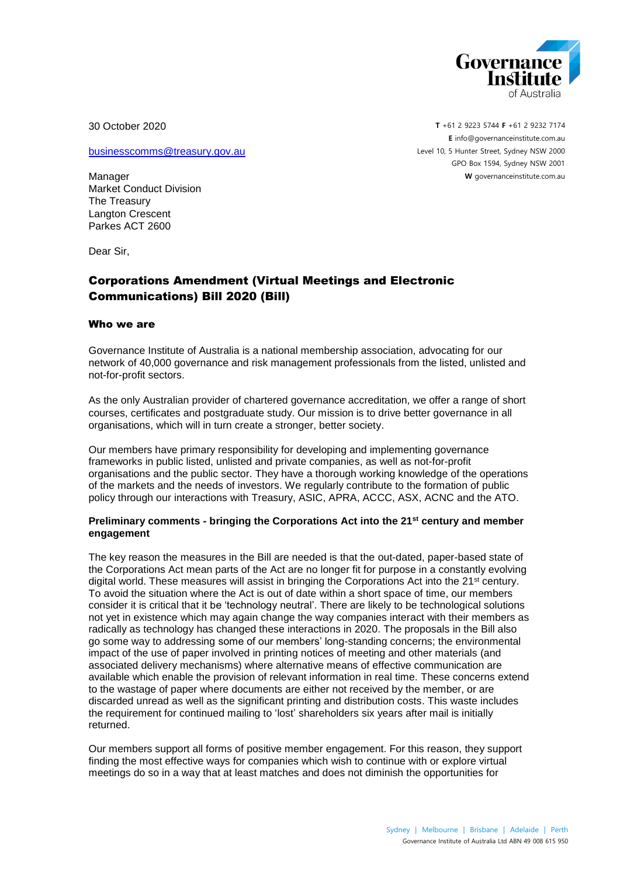

30 October 2020

[businesscomms@treasury.gov.au](mailto:businesscomms@treasury.gov.au)

Manager Market Conduct Division The Treasury Langton Crescent Parkes ACT 2600

Dear Sir,

# Corporations Amendment (Virtual Meetings and Electronic Communications) Bill 2020 (Bill)

#### Who we are

Governance Institute of Australia is a national membership association, advocating for our network of 40,000 governance and risk management professionals from the listed, unlisted and not-for-profit sectors.

As the only Australian provider of chartered governance accreditation, we offer a range of short courses, certificates and postgraduate study. Our mission is to drive better governance in all organisations, which will in turn create a stronger, better society.

Our members have primary responsibility for developing and implementing governance frameworks in public listed, unlisted and private companies, as well as not-for-profit organisations and the public sector. They have a thorough working knowledge of the operations of the markets and the needs of investors. We regularly contribute to the formation of public policy through our interactions with Treasury, ASIC, APRA, ACCC, ASX, ACNC and the ATO.

#### **Preliminary comments - bringing the Corporations Act into the 21st century and member engagement**

The key reason the measures in the Bill are needed is that the out-dated, paper-based state of the Corporations Act mean parts of the Act are no longer fit for purpose in a constantly evolving digital world. These measures will assist in bringing the Corporations Act into the  $21^{st}$  century. To avoid the situation where the Act is out of date within a short space of time, our members consider it is critical that it be 'technology neutral'. There are likely to be technological solutions not yet in existence which may again change the way companies interact with their members as radically as technology has changed these interactions in 2020. The proposals in the Bill also go some way to addressing some of our members' long-standing concerns; the environmental impact of the use of paper involved in printing notices of meeting and other materials (and associated delivery mechanisms) where alternative means of effective communication are available which enable the provision of relevant information in real time. These concerns extend to the wastage of paper where documents are either not received by the member, or are discarded unread as well as the significant printing and distribution costs. This waste includes the requirement for continued mailing to 'lost' shareholders six years after mail is initially returned.

Our members support all forms of positive member engagement. For this reason, they support finding the most effective ways for companies which wish to continue with or explore virtual meetings do so in a way that at least matches and does not diminish the opportunities for

**T** +61 2 9223 5744 **F** +61 2 9232 7174 **E** [info@governanceinstitute.com.au](mailto:info@governanceinstitute.com.au) Level 10, 5 Hunter Street, Sydney NSW 2000 GPO Box 1594, Sydney NSW 2001 **W** governanceinstitute.com.au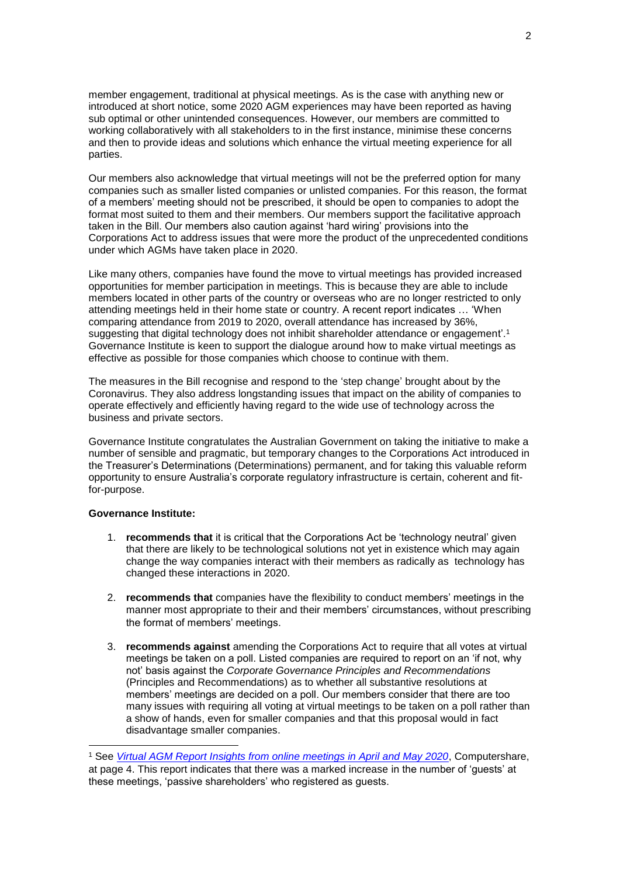member engagement, traditional at physical meetings. As is the case with anything new or introduced at short notice, some 2020 AGM experiences may have been reported as having sub optimal or other unintended consequences. However, our members are committed to working collaboratively with all stakeholders to in the first instance, minimise these concerns and then to provide ideas and solutions which enhance the virtual meeting experience for all parties.

Our members also acknowledge that virtual meetings will not be the preferred option for many companies such as smaller listed companies or unlisted companies. For this reason, the format of a members' meeting should not be prescribed, it should be open to companies to adopt the format most suited to them and their members. Our members support the facilitative approach taken in the Bill. Our members also caution against 'hard wiring' provisions into the Corporations Act to address issues that were more the product of the unprecedented conditions under which AGMs have taken place in 2020.

Like many others, companies have found the move to virtual meetings has provided increased opportunities for member participation in meetings. This is because they are able to include members located in other parts of the country or overseas who are no longer restricted to only attending meetings held in their home state or country. A recent report indicates … 'When comparing attendance from 2019 to 2020, overall attendance has increased by 36%, suggesting that digital technology does not inhibit shareholder attendance or engagement'.<sup>1</sup> Governance Institute is keen to support the dialogue around how to make virtual meetings as effective as possible for those companies which choose to continue with them.

The measures in the Bill recognise and respond to the 'step change' brought about by the Coronavirus. They also address longstanding issues that impact on the ability of companies to operate effectively and efficiently having regard to the wide use of technology across the business and private sectors.

Governance Institute congratulates the Australian Government on taking the initiative to make a number of sensible and pragmatic, but temporary changes to the Corporations Act introduced in the Treasurer's Determinations (Determinations) permanent, and for taking this valuable reform opportunity to ensure Australia's corporate regulatory infrastructure is certain, coherent and fitfor-purpose.

#### **Governance Institute:**

- 1. **recommends that** it is critical that the Corporations Act be 'technology neutral' given that there are likely to be technological solutions not yet in existence which may again change the way companies interact with their members as radically as technology has changed these interactions in 2020.
- 2. **recommends that** companies have the flexibility to conduct members' meetings in the manner most appropriate to their and their members' circumstances, without prescribing the format of members' meetings.
- 3. **recommends against** amending the Corporations Act to require that all votes at virtual meetings be taken on a poll. Listed companies are required to report on an 'if not, why not' basis against the *Corporate Governance Principles and Recommendations* (Principles and Recommendations) as to whether all substantive resolutions at members' meetings are decided on a poll. Our members consider that there are too many issues with requiring all voting at virtual meetings to be taken on a poll rather than a show of hands, even for smaller companies and that this proposal would in fact disadvantage smaller companies.

<sup>1</sup> See *[Virtual AGM Report Insights from online meetings in April and May 2020](http://images.info.computershare.com/Web/CMPTSHR1/%7B6d3e4edc-c243-4d5b-8ae0-b7898bf1d9ac%7D_VIRTUAL_AGM_SEASON_INSIGHTS_FINAL.pdf)*, Computershare, at page 4. This report indicates that there was a marked increase in the number of 'guests' at these meetings, 'passive shareholders' who registered as guests.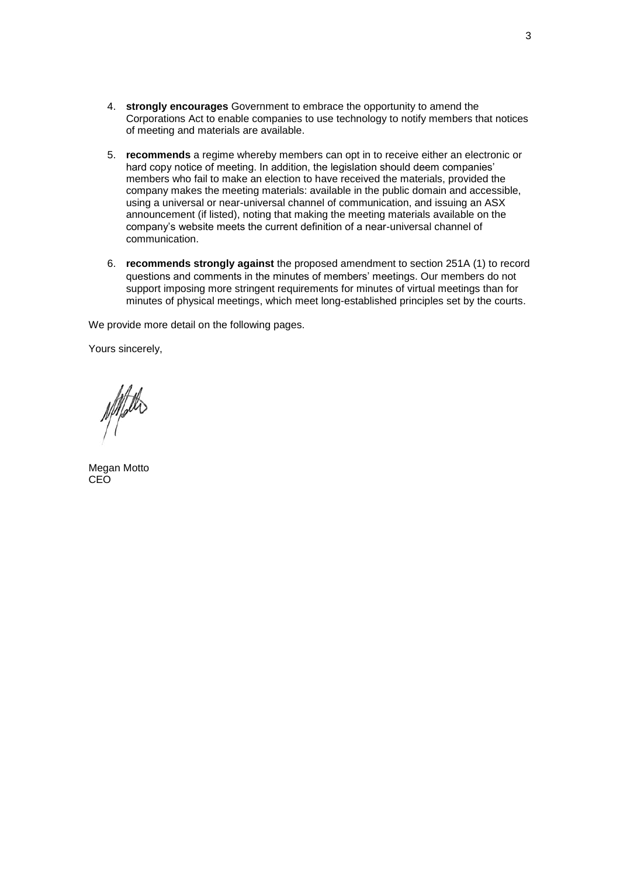- 4. **strongly encourages** Government to embrace the opportunity to amend the Corporations Act to enable companies to use technology to notify members that notices of meeting and materials are available.
- 5. **recommends** a regime whereby members can opt in to receive either an electronic or hard copy notice of meeting. In addition, the legislation should deem companies' members who fail to make an election to have received the materials, provided the company makes the meeting materials: available in the public domain and accessible, using a universal or near-universal channel of communication, and issuing an ASX announcement (if listed), noting that making the meeting materials available on the company's website meets the current definition of a near-universal channel of communication.
- 6. **recommends strongly against** the proposed amendment to section 251A (1) to record questions and comments in the minutes of members' meetings. Our members do not support imposing more stringent requirements for minutes of virtual meetings than for minutes of physical meetings, which meet long-established principles set by the courts.

We provide more detail on the following pages.

Yours sincerely,

Affette

Megan Motto CEO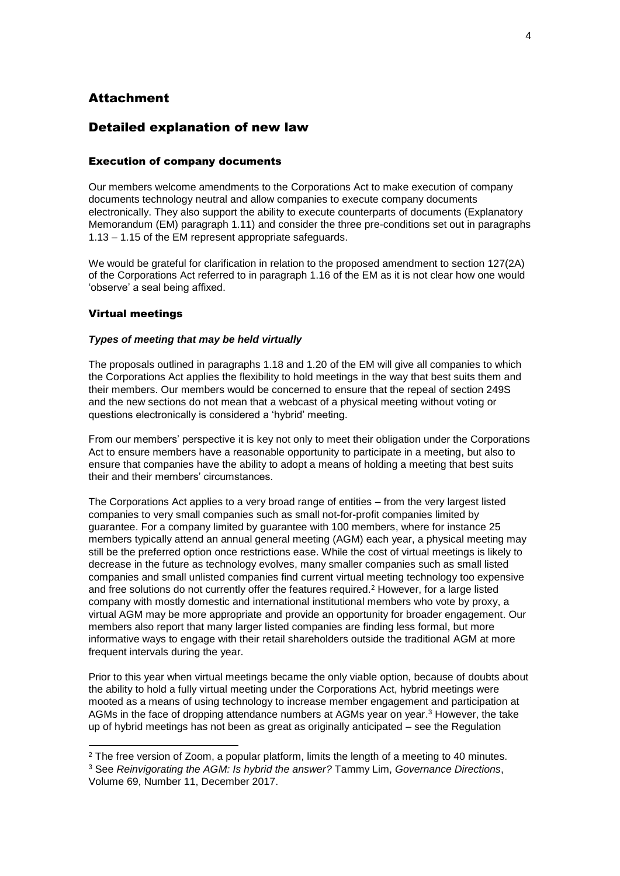## **Attachment**

## Detailed explanation of new law

#### Execution of company documents

Our members welcome amendments to the Corporations Act to make execution of company documents technology neutral and allow companies to execute company documents electronically. They also support the ability to execute counterparts of documents (Explanatory Memorandum (EM) paragraph 1.11) and consider the three pre-conditions set out in paragraphs 1.13 – 1.15 of the EM represent appropriate safeguards.

We would be grateful for clarification in relation to the proposed amendment to section 127(2A) of the Corporations Act referred to in paragraph 1.16 of the EM as it is not clear how one would 'observe' a seal being affixed.

#### Virtual meetings

1

#### *Types of meeting that may be held virtually*

The proposals outlined in paragraphs 1.18 and 1.20 of the EM will give all companies to which the Corporations Act applies the flexibility to hold meetings in the way that best suits them and their members. Our members would be concerned to ensure that the repeal of section 249S and the new sections do not mean that a webcast of a physical meeting without voting or questions electronically is considered a 'hybrid' meeting.

From our members' perspective it is key not only to meet their obligation under the Corporations Act to ensure members have a reasonable opportunity to participate in a meeting, but also to ensure that companies have the ability to adopt a means of holding a meeting that best suits their and their members' circumstances.

The Corporations Act applies to a very broad range of entities – from the very largest listed companies to very small companies such as small not-for-profit companies limited by guarantee. For a company limited by guarantee with 100 members, where for instance 25 members typically attend an annual general meeting (AGM) each year, a physical meeting may still be the preferred option once restrictions ease. While the cost of virtual meetings is likely to decrease in the future as technology evolves, many smaller companies such as small listed companies and small unlisted companies find current virtual meeting technology too expensive and free solutions do not currently offer the features required. <sup>2</sup> However, for a large listed company with mostly domestic and international institutional members who vote by proxy, a virtual AGM may be more appropriate and provide an opportunity for broader engagement. Our members also report that many larger listed companies are finding less formal, but more informative ways to engage with their retail shareholders outside the traditional AGM at more frequent intervals during the year.

Prior to this year when virtual meetings became the only viable option, because of doubts about the ability to hold a fully virtual meeting under the Corporations Act, hybrid meetings were mooted as a means of using technology to increase member engagement and participation at AGMs in the face of dropping attendance numbers at AGMs year on year.<sup>3</sup> However, the take up of hybrid meetings has not been as great as originally anticipated – see the Regulation

<sup>&</sup>lt;sup>2</sup> The free version of Zoom, a popular platform, limits the length of a meeting to 40 minutes.

<sup>3</sup> See *Reinvigorating the AGM: Is hybrid the answer?* Tammy Lim, *Governance Directions*, Volume 69, Number 11, December 2017.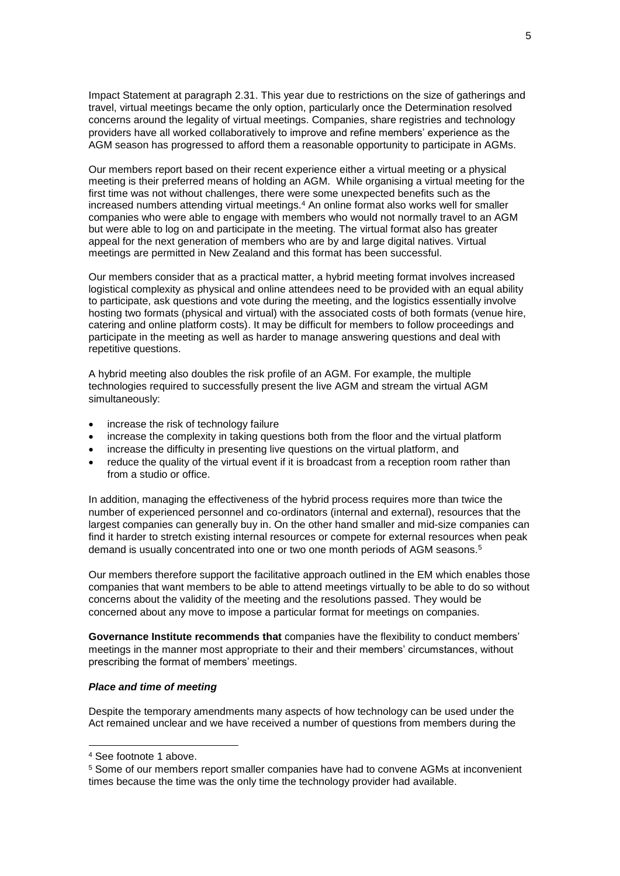Impact Statement at paragraph 2.31. This year due to restrictions on the size of gatherings and travel, virtual meetings became the only option, particularly once the Determination resolved concerns around the legality of virtual meetings. Companies, share registries and technology providers have all worked collaboratively to improve and refine members' experience as the AGM season has progressed to afford them a reasonable opportunity to participate in AGMs.

Our members report based on their recent experience either a virtual meeting or a physical meeting is their preferred means of holding an AGM. While organising a virtual meeting for the first time was not without challenges, there were some unexpected benefits such as the increased numbers attending virtual meetings.<sup>4</sup> An online format also works well for smaller companies who were able to engage with members who would not normally travel to an AGM but were able to log on and participate in the meeting. The virtual format also has greater appeal for the next generation of members who are by and large digital natives. Virtual meetings are permitted in New Zealand and this format has been successful.

Our members consider that as a practical matter, a hybrid meeting format involves increased logistical complexity as physical and online attendees need to be provided with an equal ability to participate, ask questions and vote during the meeting, and the logistics essentially involve hosting two formats (physical and virtual) with the associated costs of both formats (venue hire, catering and online platform costs). It may be difficult for members to follow proceedings and participate in the meeting as well as harder to manage answering questions and deal with repetitive questions.

A hybrid meeting also doubles the risk profile of an AGM. For example, the multiple technologies required to successfully present the live AGM and stream the virtual AGM simultaneously:

- increase the risk of technology failure
- increase the complexity in taking questions both from the floor and the virtual platform
- increase the difficulty in presenting live questions on the virtual platform, and
- reduce the quality of the virtual event if it is broadcast from a reception room rather than from a studio or office.

In addition, managing the effectiveness of the hybrid process requires more than twice the number of experienced personnel and co-ordinators (internal and external), resources that the largest companies can generally buy in. On the other hand smaller and mid-size companies can find it harder to stretch existing internal resources or compete for external resources when peak demand is usually concentrated into one or two one month periods of AGM seasons.<sup>5</sup>

Our members therefore support the facilitative approach outlined in the EM which enables those companies that want members to be able to attend meetings virtually to be able to do so without concerns about the validity of the meeting and the resolutions passed. They would be concerned about any move to impose a particular format for meetings on companies.

**Governance Institute recommends that** companies have the flexibility to conduct members' meetings in the manner most appropriate to their and their members' circumstances, without prescribing the format of members' meetings.

#### *Place and time of meeting*

Despite the temporary amendments many aspects of how technology can be used under the Act remained unclear and we have received a number of questions from members during the

<sup>4</sup> See footnote 1 above.

<sup>5</sup> Some of our members report smaller companies have had to convene AGMs at inconvenient times because the time was the only time the technology provider had available.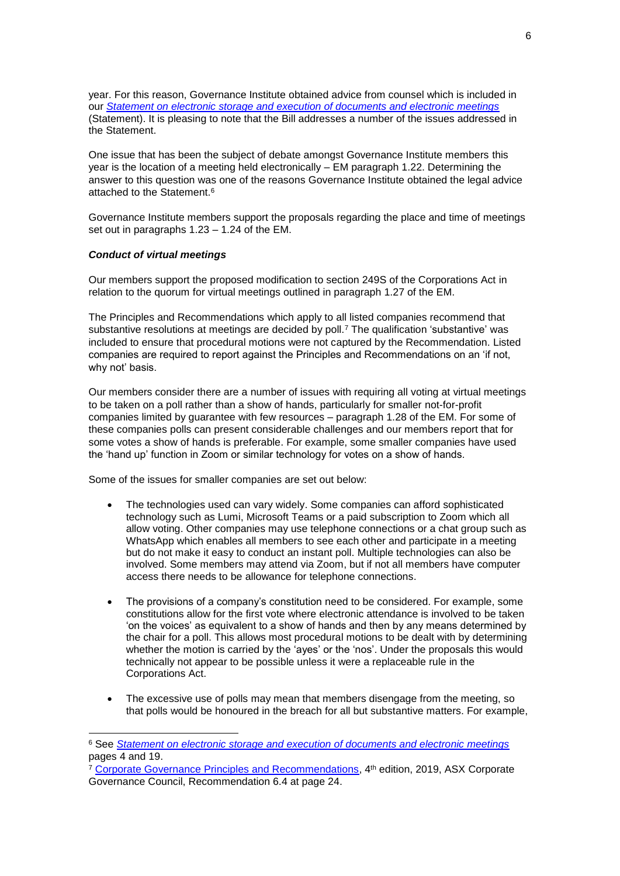year. For this reason, Governance Institute obtained advice from counsel which is included in our *[Statement on electronic storage and execution of documents and electronic meetings](https://www.governanceinstitute.com.au/advocacy/thought-leadership/statement-on-electronic-storage-and-execution-of-documents-and-electronic-meetings/)* (Statement). It is pleasing to note that the Bill addresses a number of the issues addressed in the Statement.

One issue that has been the subject of debate amongst Governance Institute members this year is the location of a meeting held electronically – EM paragraph 1.22. Determining the answer to this question was one of the reasons Governance Institute obtained the legal advice attached to the Statement.<sup>6</sup>

Governance Institute members support the proposals regarding the place and time of meetings set out in paragraphs 1.23 – 1.24 of the EM.

#### *Conduct of virtual meetings*

1

Our members support the proposed modification to section 249S of the Corporations Act in relation to the quorum for virtual meetings outlined in paragraph 1.27 of the EM.

The Principles and Recommendations which apply to all listed companies recommend that substantive resolutions at meetings are decided by poll.<sup>7</sup> The qualification 'substantive' was included to ensure that procedural motions were not captured by the Recommendation. Listed companies are required to report against the Principles and Recommendations on an 'if not, why not' basis.

Our members consider there are a number of issues with requiring all voting at virtual meetings to be taken on a poll rather than a show of hands, particularly for smaller not-for-profit companies limited by guarantee with few resources – paragraph 1.28 of the EM. For some of these companies polls can present considerable challenges and our members report that for some votes a show of hands is preferable. For example, some smaller companies have used the 'hand up' function in Zoom or similar technology for votes on a show of hands.

Some of the issues for smaller companies are set out below:

- The technologies used can vary widely. Some companies can afford sophisticated technology such as Lumi, Microsoft Teams or a paid subscription to Zoom which all allow voting. Other companies may use telephone connections or a chat group such as WhatsApp which enables all members to see each other and participate in a meeting but do not make it easy to conduct an instant poll. Multiple technologies can also be involved. Some members may attend via Zoom, but if not all members have computer access there needs to be allowance for telephone connections.
- The provisions of a company's constitution need to be considered. For example, some constitutions allow for the first vote where electronic attendance is involved to be taken 'on the voices' as equivalent to a show of hands and then by any means determined by the chair for a poll. This allows most procedural motions to be dealt with by determining whether the motion is carried by the 'ayes' or the 'nos'. Under the proposals this would technically not appear to be possible unless it were a replaceable rule in the Corporations Act.
- The excessive use of polls may mean that members disengage from the meeting, so that polls would be honoured in the breach for all but substantive matters. For example,

<sup>6</sup> See *[Statement on electronic storage and execution of documents and electronic meetings](https://www.governanceinstitute.com.au/advocacy/thought-leadership/statement-on-electronic-storage-and-execution-of-documents-and-electronic-meetings/)* pages 4 and 19.

<sup>&</sup>lt;sup>7</sup> [Corporate Governance Principles and Recommendations,](https://www.asx.com.au/documents/asx-compliance/cgc-principles-and-recommendations-fourth-edn.pdf) 4<sup>th</sup> edition, 2019, ASX Corporate Governance Council, Recommendation 6.4 at page 24.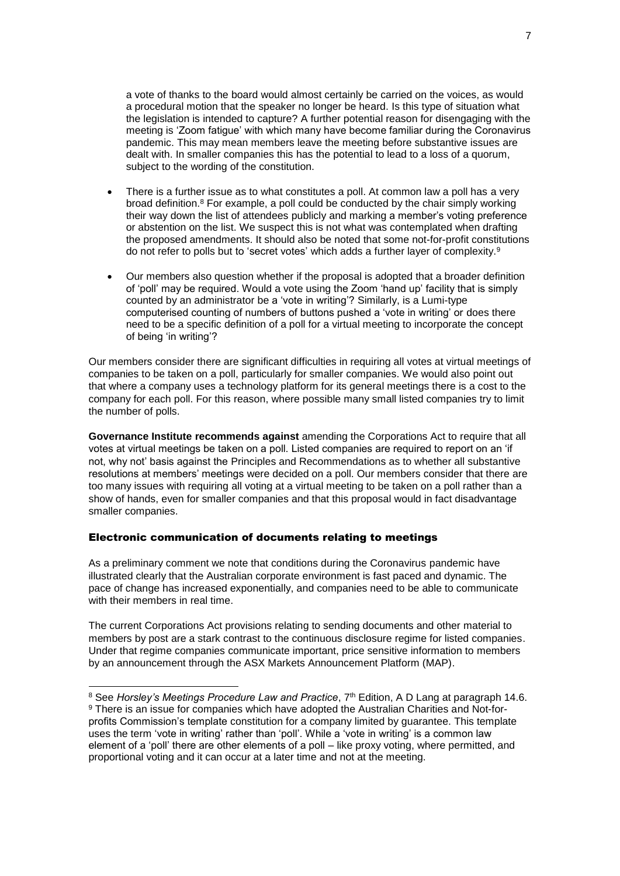a vote of thanks to the board would almost certainly be carried on the voices, as would a procedural motion that the speaker no longer be heard. Is this type of situation what the legislation is intended to capture? A further potential reason for disengaging with the meeting is 'Zoom fatigue' with which many have become familiar during the Coronavirus pandemic. This may mean members leave the meeting before substantive issues are dealt with. In smaller companies this has the potential to lead to a loss of a quorum, subject to the wording of the constitution.

- There is a further issue as to what constitutes a poll. At common law a poll has a very broad definition.<sup>8</sup> For example, a poll could be conducted by the chair simply working their way down the list of attendees publicly and marking a member's voting preference or abstention on the list. We suspect this is not what was contemplated when drafting the proposed amendments. It should also be noted that some not-for-profit constitutions do not refer to polls but to 'secret votes' which adds a further layer of complexity.<sup>9</sup>
- Our members also question whether if the proposal is adopted that a broader definition of 'poll' may be required. Would a vote using the Zoom 'hand up' facility that is simply counted by an administrator be a 'vote in writing'? Similarly, is a Lumi-type computerised counting of numbers of buttons pushed a 'vote in writing' or does there need to be a specific definition of a poll for a virtual meeting to incorporate the concept of being 'in writing'?

Our members consider there are significant difficulties in requiring all votes at virtual meetings of companies to be taken on a poll, particularly for smaller companies. We would also point out that where a company uses a technology platform for its general meetings there is a cost to the company for each poll. For this reason, where possible many small listed companies try to limit the number of polls.

**Governance Institute recommends against** amending the Corporations Act to require that all votes at virtual meetings be taken on a poll. Listed companies are required to report on an 'if not, why not' basis against the Principles and Recommendations as to whether all substantive resolutions at members' meetings were decided on a poll. Our members consider that there are too many issues with requiring all voting at a virtual meeting to be taken on a poll rather than a show of hands, even for smaller companies and that this proposal would in fact disadvantage smaller companies.

#### Electronic communication of documents relating to meetings

1

As a preliminary comment we note that conditions during the Coronavirus pandemic have illustrated clearly that the Australian corporate environment is fast paced and dynamic. The pace of change has increased exponentially, and companies need to be able to communicate with their members in real time.

The current Corporations Act provisions relating to sending documents and other material to members by post are a stark contrast to the continuous disclosure regime for listed companies. Under that regime companies communicate important, price sensitive information to members by an announcement through the ASX Markets Announcement Platform (MAP).

<sup>&</sup>lt;sup>8</sup> See *Horsley's Meetings Procedure Law and Practice*, 7<sup>th</sup> Edition, A D Lang at paragraph 14.6. <sup>9</sup> There is an issue for companies which have adopted the Australian Charities and Not-forprofits Commission's template constitution for a company limited by guarantee. This template uses the term 'vote in writing' rather than 'poll'. While a 'vote in writing' is a common law element of a 'poll' there are other elements of a poll – like proxy voting, where permitted, and proportional voting and it can occur at a later time and not at the meeting.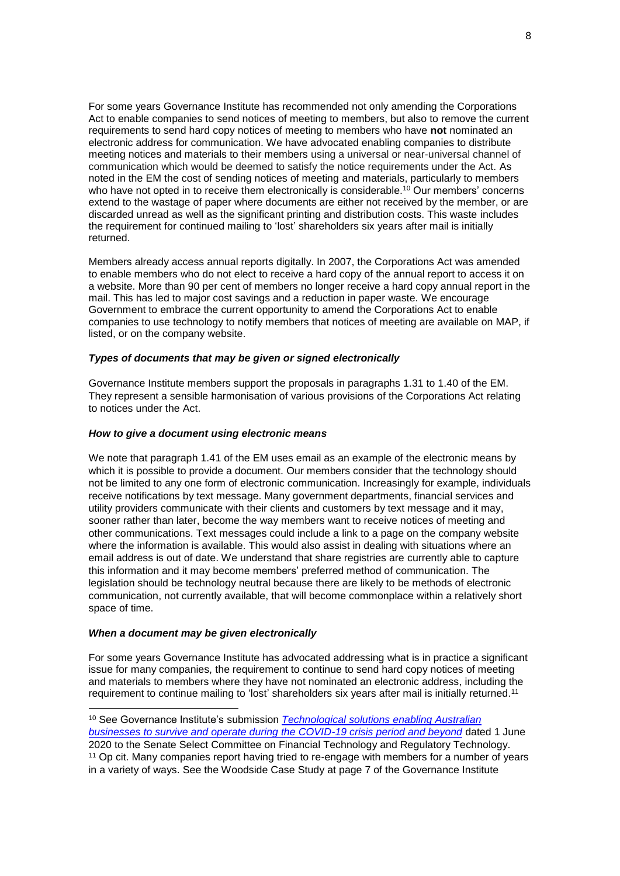For some years Governance Institute has recommended not only amending the Corporations Act to enable companies to send notices of meeting to members, but also to remove the current requirements to send hard copy notices of meeting to members who have **not** nominated an electronic address for communication. We have advocated enabling companies to distribute meeting notices and materials to their members using a universal or near-universal channel of communication which would be deemed to satisfy the notice requirements under the Act. As noted in the EM the cost of sending notices of meeting and materials, particularly to members who have not opted in to receive them electronically is considerable.<sup>10</sup> Our members' concerns extend to the wastage of paper where documents are either not received by the member, or are discarded unread as well as the significant printing and distribution costs. This waste includes the requirement for continued mailing to 'lost' shareholders six years after mail is initially returned.

Members already access annual reports digitally. In 2007, the Corporations Act was amended to enable members who do not elect to receive a hard copy of the annual report to access it on a website. More than 90 per cent of members no longer receive a hard copy annual report in the mail. This has led to major cost savings and a reduction in paper waste. We encourage Government to embrace the current opportunity to amend the Corporations Act to enable companies to use technology to notify members that notices of meeting are available on MAP, if listed, or on the company website.

#### *Types of documents that may be given or signed electronically*

Governance Institute members support the proposals in paragraphs 1.31 to 1.40 of the EM. They represent a sensible harmonisation of various provisions of the Corporations Act relating to notices under the Act.

#### *How to give a document using electronic means*

We note that paragraph 1.41 of the EM uses email as an example of the electronic means by which it is possible to provide a document. Our members consider that the technology should not be limited to any one form of electronic communication. Increasingly for example, individuals receive notifications by text message. Many government departments, financial services and utility providers communicate with their clients and customers by text message and it may, sooner rather than later, become the way members want to receive notices of meeting and other communications. Text messages could include a link to a page on the company website where the information is available. This would also assist in dealing with situations where an email address is out of date. We understand that share registries are currently able to capture this information and it may become members' preferred method of communication. The legislation should be technology neutral because there are likely to be methods of electronic communication, not currently available, that will become commonplace within a relatively short space of time.

#### *When a document may be given electronically*

-

For some years Governance Institute has advocated addressing what is in practice a significant issue for many companies, the requirement to continue to send hard copy notices of meeting and materials to members where they have not nominated an electronic address, including the requirement to continue mailing to 'lost' shareholders six years after mail is initially returned.<sup>11</sup>

<sup>10</sup> See Governance Institute's submission *[Technological solutions enabling Australian](https://www.governanceinstitute.com.au/advocacy/submissions/2020/)  [businesses to survive and operate during the COVID-19 crisis period and beyond](https://www.governanceinstitute.com.au/advocacy/submissions/2020/)* dated 1 June 2020 to the Senate Select Committee on Financial Technology and Regulatory Technology.

<sup>&</sup>lt;sup>11</sup> Op cit. Many companies report having tried to re-engage with members for a number of years in a variety of ways. See the Woodside Case Study at page 7 of the Governance Institute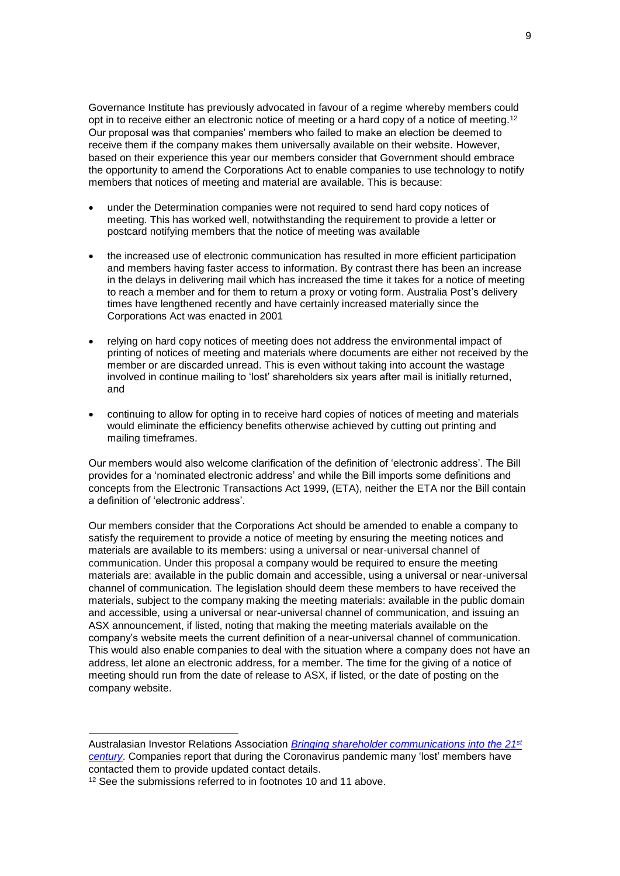Governance Institute has previously advocated in favour of a regime whereby members could opt in to receive either an electronic notice of meeting or a hard copy of a notice of meeting.<sup>12</sup> Our proposal was that companies' members who failed to make an election be deemed to receive them if the company makes them universally available on their website. However, based on their experience this year our members consider that Government should embrace the opportunity to amend the Corporations Act to enable companies to use technology to notify members that notices of meeting and material are available. This is because:

- under the Determination companies were not required to send hard copy notices of meeting. This has worked well, notwithstanding the requirement to provide a letter or postcard notifying members that the notice of meeting was available
- the increased use of electronic communication has resulted in more efficient participation and members having faster access to information. By contrast there has been an increase in the delays in delivering mail which has increased the time it takes for a notice of meeting to reach a member and for them to return a proxy or voting form. Australia Post's delivery times have lengthened recently and have certainly increased materially since the Corporations Act was enacted in 2001
- relying on hard copy notices of meeting does not address the environmental impact of printing of notices of meeting and materials where documents are either not received by the member or are discarded unread. This is even without taking into account the wastage involved in continue mailing to 'lost' shareholders six years after mail is initially returned, and
- continuing to allow for opting in to receive hard copies of notices of meeting and materials would eliminate the efficiency benefits otherwise achieved by cutting out printing and mailing timeframes.

Our members would also welcome clarification of the definition of 'electronic address'. The Bill provides for a 'nominated electronic address' and while the Bill imports some definitions and concepts from the Electronic Transactions Act 1999, (ETA), neither the ETA nor the Bill contain a definition of 'electronic address'.

Our members consider that the Corporations Act should be amended to enable a company to satisfy the requirement to provide a notice of meeting by ensuring the meeting notices and materials are available to its members: using a universal or near-universal channel of communication. Under this proposal a company would be required to ensure the meeting materials are: available in the public domain and accessible, using a universal or near-universal channel of communication. The legislation should deem these members to have received the materials, subject to the company making the meeting materials: available in the public domain and accessible, using a universal or near-universal channel of communication, and issuing an ASX announcement, if listed, noting that making the meeting materials available on the company's website meets the current definition of a near-universal channel of communication. This would also enable companies to deal with the situation where a company does not have an address, let alone an electronic address, for a member. The time for the giving of a notice of meeting should run from the date of release to ASX, if listed, or the date of posting on the company website.

Australasian Investor Relations Association *[Bringing shareholder communications into the 21](https://www.governanceinstitute.com.au/advocacy/submissions/2019/)st [century](https://www.governanceinstitute.com.au/advocacy/submissions/2019/)*. Companies report that during the Coronavirus pandemic many 'lost' members have contacted them to provide updated contact details.

<sup>&</sup>lt;sup>12</sup> See the submissions referred to in footnotes 10 and 11 above.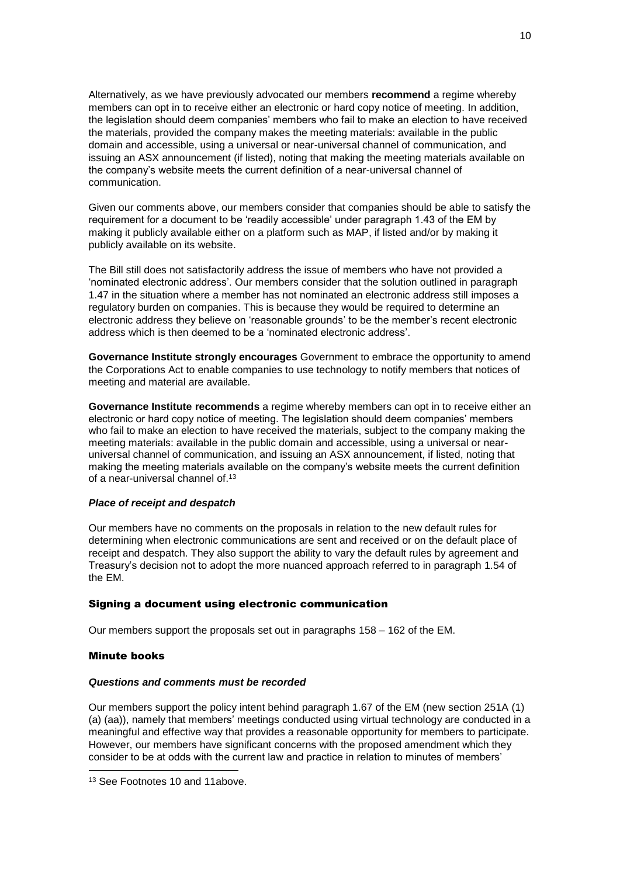Alternatively, as we have previously advocated our members **recommend** a regime whereby members can opt in to receive either an electronic or hard copy notice of meeting. In addition, the legislation should deem companies' members who fail to make an election to have received the materials, provided the company makes the meeting materials: available in the public domain and accessible, using a universal or near-universal channel of communication, and issuing an ASX announcement (if listed), noting that making the meeting materials available on the company's website meets the current definition of a near-universal channel of communication.

Given our comments above, our members consider that companies should be able to satisfy the requirement for a document to be 'readily accessible' under paragraph 1.43 of the EM by making it publicly available either on a platform such as MAP, if listed and/or by making it publicly available on its website.

The Bill still does not satisfactorily address the issue of members who have not provided a 'nominated electronic address'. Our members consider that the solution outlined in paragraph 1.47 in the situation where a member has not nominated an electronic address still imposes a regulatory burden on companies. This is because they would be required to determine an electronic address they believe on 'reasonable grounds' to be the member's recent electronic address which is then deemed to be a 'nominated electronic address'.

**Governance Institute strongly encourages** Government to embrace the opportunity to amend the Corporations Act to enable companies to use technology to notify members that notices of meeting and material are available.

**Governance Institute recommends** a regime whereby members can opt in to receive either an electronic or hard copy notice of meeting. The legislation should deem companies' members who fail to make an election to have received the materials, subject to the company making the meeting materials: available in the public domain and accessible, using a universal or nearuniversal channel of communication, and issuing an ASX announcement, if listed, noting that making the meeting materials available on the company's website meets the current definition of a near-universal channel of. 13

#### *Place of receipt and despatch*

Our members have no comments on the proposals in relation to the new default rules for determining when electronic communications are sent and received or on the default place of receipt and despatch. They also support the ability to vary the default rules by agreement and Treasury's decision not to adopt the more nuanced approach referred to in paragraph 1.54 of the EM.

### Signing a document using electronic communication

Our members support the proposals set out in paragraphs 158 – 162 of the EM.

### Minute books

1

#### *Questions and comments must be recorded*

Our members support the policy intent behind paragraph 1.67 of the EM (new section 251A (1) (a) (aa)), namely that members' meetings conducted using virtual technology are conducted in a meaningful and effective way that provides a reasonable opportunity for members to participate. However, our members have significant concerns with the proposed amendment which they consider to be at odds with the current law and practice in relation to minutes of members'

<sup>13</sup> See Footnotes 10 and 11above.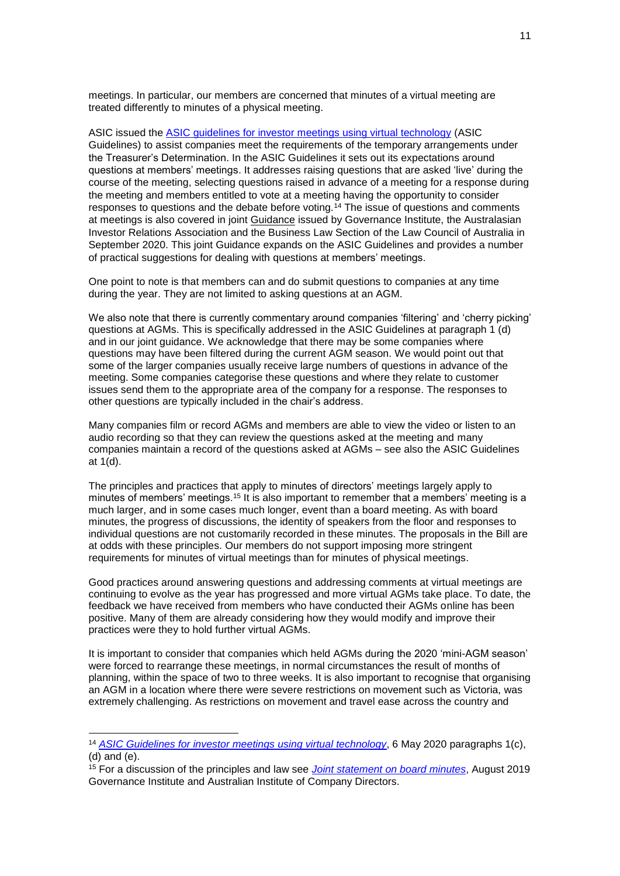meetings. In particular, our members are concerned that minutes of a virtual meeting are treated differently to minutes of a physical meeting.

ASIC issued the [ASIC guidelines for investor meetings using virtual technology](https://asic.gov.au/about-asic/news-centre/news-items/asic-guidelines-for-investor-meetings-using-virtual-technology/) (ASIC Guidelines) to assist companies meet the requirements of the temporary arrangements under the Treasurer's Determination. In the ASIC Guidelines it sets out its expectations around questions at members' meetings. It addresses raising questions that are asked 'live' during the course of the meeting, selecting questions raised in advance of a meeting for a response during the meeting and members entitled to vote at a meeting having the opportunity to consider responses to questions and the debate before voting.<sup>14</sup> The issue of questions and comments at meetings is also covered in joint [Guidance](https://www.governanceinstitute.com.au/advocacy/thought-leadership/guidance-holding-a-virtual-agm/) issued by Governance Institute, the Australasian Investor Relations Association and the Business Law Section of the Law Council of Australia in September 2020. This joint Guidance expands on the ASIC Guidelines and provides a number of practical suggestions for dealing with questions at members' meetings.

One point to note is that members can and do submit questions to companies at any time during the year. They are not limited to asking questions at an AGM.

We also note that there is currently commentary around companies 'filtering' and 'cherry picking' questions at AGMs. This is specifically addressed in the ASIC Guidelines at paragraph 1 (d) and in our joint guidance. We acknowledge that there may be some companies where questions may have been filtered during the current AGM season. We would point out that some of the larger companies usually receive large numbers of questions in advance of the meeting. Some companies categorise these questions and where they relate to customer issues send them to the appropriate area of the company for a response. The responses to other questions are typically included in the chair's address.

Many companies film or record AGMs and members are able to view the video or listen to an audio recording so that they can review the questions asked at the meeting and many companies maintain a record of the questions asked at AGMs – see also the ASIC Guidelines at 1(d).

The principles and practices that apply to minutes of directors' meetings largely apply to minutes of members' meetings.<sup>15</sup> It is also important to remember that a members' meeting is a much larger, and in some cases much longer, event than a board meeting. As with board minutes, the progress of discussions, the identity of speakers from the floor and responses to individual questions are not customarily recorded in these minutes. The proposals in the Bill are at odds with these principles. Our members do not support imposing more stringent requirements for minutes of virtual meetings than for minutes of physical meetings.

Good practices around answering questions and addressing comments at virtual meetings are continuing to evolve as the year has progressed and more virtual AGMs take place. To date, the feedback we have received from members who have conducted their AGMs online has been positive. Many of them are already considering how they would modify and improve their practices were they to hold further virtual AGMs.

It is important to consider that companies which held AGMs during the 2020 'mini-AGM season' were forced to rearrange these meetings, in normal circumstances the result of months of planning, within the space of two to three weeks. It is also important to recognise that organising an AGM in a location where there were severe restrictions on movement such as Victoria, was extremely challenging. As restrictions on movement and travel ease across the country and

<sup>14</sup> *[ASIC Guidelines for investor meetings using virtual technology](https://asic.gov.au/about-asic/news-centre/news-items/asic-guidelines-for-investor-meetings-using-virtual-technology/)*, 6 May 2020 paragraphs 1(c), (d) and (e).

<sup>15</sup> For a discussion of the principles and law see *[Joint statement on board minutes](https://www.governanceinstitute.com.au/advocacy/thought-leadership/joint-statement-on-board-minutes/)*, August 2019 Governance Institute and Australian Institute of Company Directors.